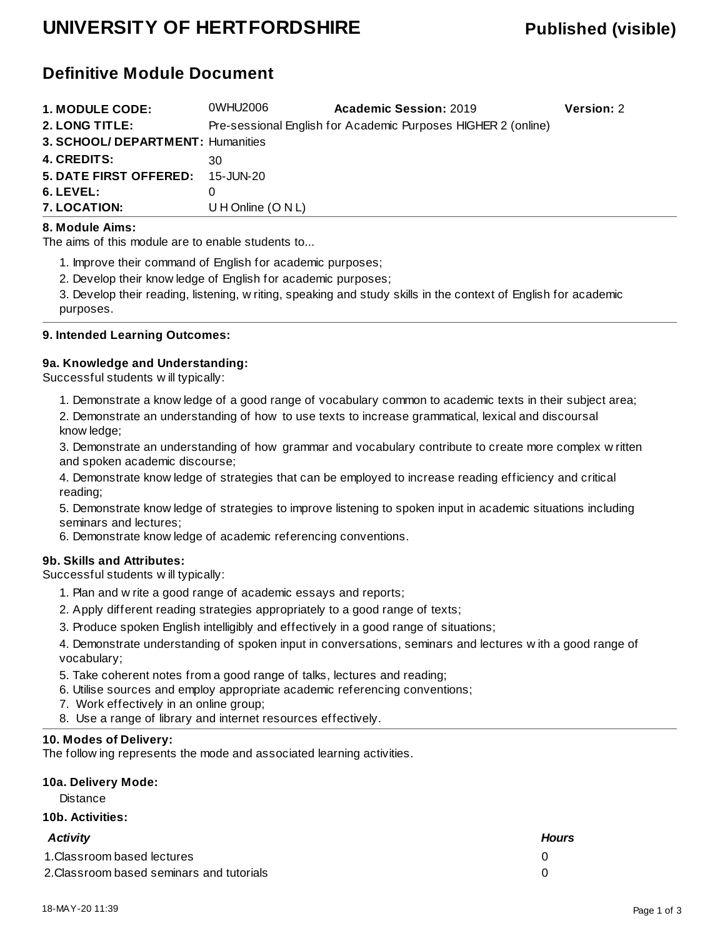## **UNIVERSITY OF HERTFORDSHIRE Published (visible)**

## **Definitive Module Document**

| <b>1. MODULE CODE:</b>            | 0WHU2006             | <b>Academic Session: 2019</b>                                 | <b>Version: 2</b> |
|-----------------------------------|----------------------|---------------------------------------------------------------|-------------------|
| 2. LONG TITLE:                    |                      | Pre-sessional English for Academic Purposes HIGHER 2 (online) |                   |
| 3. SCHOOL/ DEPARTMENT: Humanities |                      |                                                               |                   |
| <b>4. CREDITS:</b>                | 30.                  |                                                               |                   |
| <b>5. DATE FIRST OFFERED:</b>     | 15-JUN-20            |                                                               |                   |
| $6.$ LEVEL:                       |                      |                                                               |                   |
| 7. LOCATION:                      | U H Online $(O N L)$ |                                                               |                   |

#### **8. Module Aims:**

The aims of this module are to enable students to...

1. Improve their command of English for academic purposes;

2. Develop their knowledge of English for academic purposes;

3. Develop their reading, listening, writing, speaking and study skills in the context of English for academic purposes.

#### **9. Intended Learning Outcomes:**

#### **9a. Knowledge and Understanding:**

Successful students will typically:

1. Demonstrate a knowledge of a good range of vocabulary common to academic texts in their subject area;

2. Demonstrate an understanding of how to use texts to increase grammatical, lexical and discoursal knowledge;

3. Demonstrate an understanding of how grammar and vocabulary contribute to create more complex written and spoken academic discourse;

4. Demonstrate knowledge of strategies that can be employed to increase reading efficiency and critical reading;

5. Demonstrate knowledge of strategies to improve listening to spoken input in academic situations including seminars and lectures;

6. Demonstrate knowledge of academic referencing conventions.

#### **9b. Skills and Attributes:**

Successful students will typically:

- 1. Plan and write a good range of academic essays and reports;
- 2. Apply different reading strategies appropriately to a good range of texts;
- 3. Produce spoken English intelligibly and effectively in a good range of situations;

4. Demonstrate understanding of spoken input in conversations, seminars and lectures with a good range of vocabulary;

- 5. Take coherent notes from a good range of talks, lectures and reading;
- 6. Utilise sources and employ appropriate academic referencing conventions;
- 7. Work effectively in an online group;
- 8. Use a range of library and internet resources effectively.

#### **10. Modes of Delivery:**

The following represents the mode and associated learning activities.

### **10a. Delivery Mode:**

**Distance** 

#### **10b. Activities:**

| Activity                                  | <b>Hours</b> |
|-------------------------------------------|--------------|
| 1. Classroom based lectures               |              |
| 2. Classroom based seminars and tutorials |              |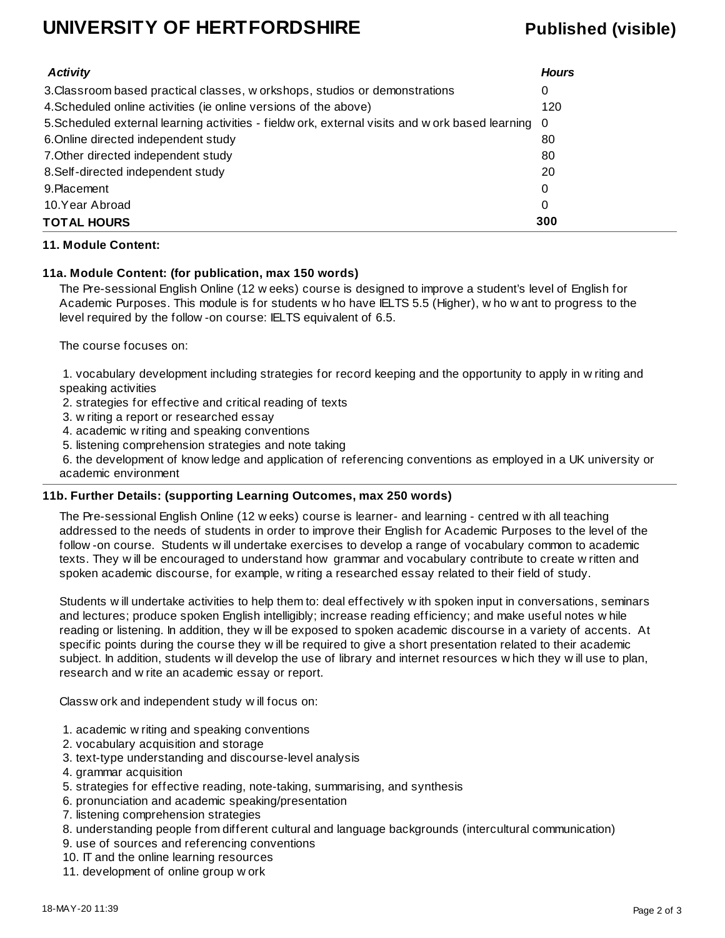## **UNIVERSITY OF HERTFORDSHIRE Published (visible)**

| <b>Activity</b>                                                                                  | <b>Hours</b> |
|--------------------------------------------------------------------------------------------------|--------------|
| 3. Classroom based practical classes, w orkshops, studios or demonstrations                      | 0            |
| 4. Scheduled online activities (ie online versions of the above)                                 | 120          |
| 5. Scheduled external learning activities - fieldw ork, external visits and w ork based learning | - 0          |
| 6. Online directed independent study                                                             | 80           |
| 7. Other directed independent study                                                              | 80           |
| 8. Self-directed independent study                                                               | 20           |
| 9. Placement                                                                                     | $\Omega$     |
| 10.Year Abroad                                                                                   | 0            |
| <b>TOTAL HOURS</b>                                                                               | 300          |

#### **11. Module Content:**

#### **11a. Module Content: (for publication, max 150 words)**

The Pre-sessional English Online (12 weeks) course is designed to improve a student's level of English for Academic Purposes. This module is for students who have IELTS 5.5 (Higher), who want to progress to the level required by the follow-on course: IELTS equivalent of 6.5.

The course focuses on:

 1. vocabulary development including strategies for record keeping and the opportunity to apply in writing and speaking activities

- 2. strategies for effective and critical reading of texts
- 3. writing a report or researched essay
- 4. academic writing and speaking conventions
- 5. listening comprehension strategies and note taking

 6. the development of knowledge and application of referencing conventions as employed in a UK university or academic environment

#### **11b. Further Details: (supporting Learning Outcomes, max 250 words)**

The Pre-sessional English Online (12 weeks) course is learner- and learning - centred with all teaching addressed to the needs of students in order to improve their English for Academic Purposes to the level of the follow-on course. Students will undertake exercises to develop a range of vocabulary common to academic texts. They will be encouraged to understand how grammar and vocabulary contribute to create written and spoken academic discourse, for example, writing a researched essay related to their field of study.

Students will undertake activities to help them to: deal effectively with spoken input in conversations, seminars and lectures; produce spoken English intelligibly; increase reading efficiency; and make useful notes while reading or listening. In addition, they will be exposed to spoken academic discourse in a variety of accents. At specific points during the course they will be required to give a short presentation related to their academic subject. In addition, students will develop the use of library and internet resources which they will use to plan, research and write an academic essay or report.

Classwork and independent study will focus on:

- 1. academic writing and speaking conventions
- 2. vocabulary acquisition and storage
- 3. text-type understanding and discourse-level analysis
- 4. grammar acquisition
- 5. strategies for effective reading, note-taking, summarising, and synthesis
- 6. pronunciation and academic speaking/presentation
- 7. listening comprehension strategies
- 8. understanding people from different cultural and language backgrounds (intercultural communication)
- 9. use of sources and referencing conventions
- 10. IT and the online learning resources
- 11. development of online group work